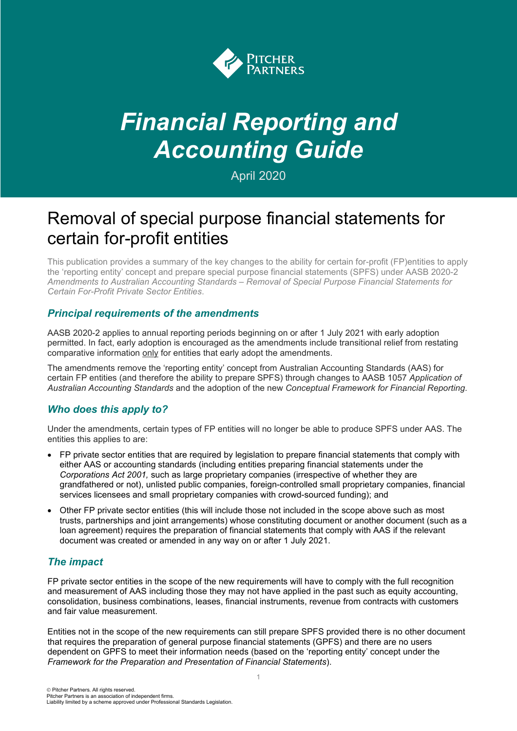

# *Financial Reporting and Accounting Guide*

April 2020

# Removal of special purpose financial statements for certain for-profit entities

This publication provides a summary of the key changes to the ability for certain for-profit (FP)entities to apply the 'reporting entity' concept and prepare special purpose financial statements (SPFS) under AASB 2020-2 *Amendments to Australian Accounting Standards – Removal of Special Purpose Financial Statements for Certain For-Profit Private Sector Entities*.

#### *Principal requirements of the amendments*

AASB 2020-2 applies to annual reporting periods beginning on or after 1 July 2021 with early adoption permitted. In fact, early adoption is encouraged as the amendments include transitional relief from restating comparative information only for entities that early adopt the amendments.

The amendments remove the 'reporting entity' concept from Australian Accounting Standards (AAS) for certain FP entities (and therefore the ability to prepare SPFS) through changes to AASB 1057 *Application of Australian Accounting Standards* and the adoption of the new *Conceptual Framework for Financial Reporting*.

### *Who does this apply to?*

Under the amendments, certain types of FP entities will no longer be able to produce SPFS under AAS. The entities this applies to are:

- FP private sector entities that are required by legislation to prepare financial statements that comply with either AAS or accounting standards (including entities preparing financial statements under the *Corporations Act 2001,* such as large proprietary companies (irrespective of whether they are grandfathered or not), unlisted public companies, foreign-controlled small proprietary companies, financial services licensees and small proprietary companies with crowd-sourced funding); and
- Other FP private sector entities (this will include those not included in the scope above such as most trusts, partnerships and joint arrangements) whose constituting document or another document (such as a loan agreement) requires the preparation of financial statements that comply with AAS if the relevant document was created or amended in any way on or after 1 July 2021.

### *The impact*

FP private sector entities in the scope of the new requirements will have to comply with the full recognition and measurement of AAS including those they may not have applied in the past such as equity accounting, consolidation, business combinations, leases, financial instruments, revenue from contracts with customers and fair value measurement.

Entities not in the scope of the new requirements can still prepare SPFS provided there is no other document that requires the preparation of general purpose financial statements (GPFS) and there are no users dependent on GPFS to meet their information needs (based on the 'reporting entity' concept under the *Framework for the Preparation and Presentation of Financial Statements*).